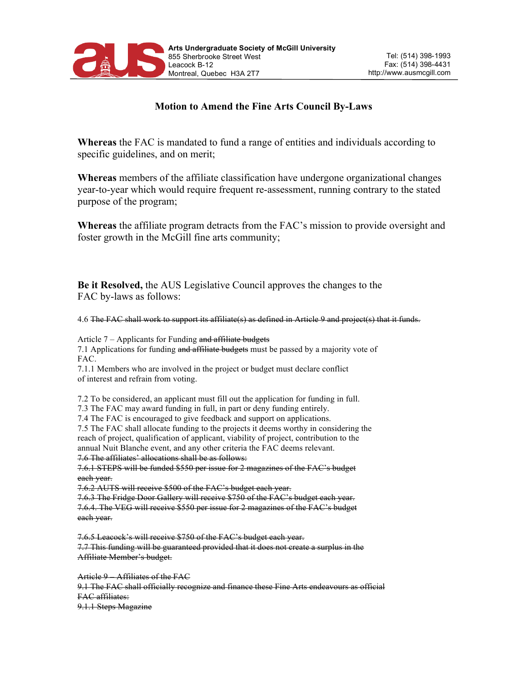

## **Motion to Amend the Fine Arts Council By-Laws**

**Whereas** the FAC is mandated to fund a range of entities and individuals according to specific guidelines, and on merit;

**Whereas** members of the affiliate classification have undergone organizational changes year-to-year which would require frequent re-assessment, running contrary to the stated purpose of the program;

**Whereas** the affiliate program detracts from the FAC's mission to provide oversight and foster growth in the McGill fine arts community;

**Be it Resolved,** the AUS Legislative Council approves the changes to the FAC by-laws as follows:

4.6 The FAC shall work to support its affiliate(s) as defined in Article 9 and project(s) that it funds.

Article 7 – Applicants for Funding and affiliate budgets

7.1 Applications for funding and affiliate budgets must be passed by a majority vote of FAC.

7.1.1 Members who are involved in the project or budget must declare conflict of interest and refrain from voting.

7.2 To be considered, an applicant must fill out the application for funding in full.

7.3 The FAC may award funding in full, in part or deny funding entirely.

7.4 The FAC is encouraged to give feedback and support on applications.

7.5 The FAC shall allocate funding to the projects it deems worthy in considering the reach of project, qualification of applicant, viability of project, contribution to the annual Nuit Blanche event, and any other criteria the FAC deems relevant.

7.6 The affiliates' allocations shall be as follows:

7.6.1 STEPS will be funded \$550 per issue for 2 magazines of the FAC's budget each year.

7.6.2 AUTS will receive \$500 of the FAC's budget each year.

7.6.3 The Fridge Door Gallery will receive \$750 of the FAC's budget each year.

7.6.4. The VEG will receive \$550 per issue for 2 magazines of the FAC's budget each year.

7.6.5 Leacock's will receive \$750 of the FAC's budget each year. 7.7 This funding will be guaranteed provided that it does not create a surplus in the Affiliate Member's budget.

Article 9 – Affiliates of the FAC 9.1 The FAC shall officially recognize and finance these Fine Arts endeavours as official FAC affiliates: 9.1.1 Steps Magazine